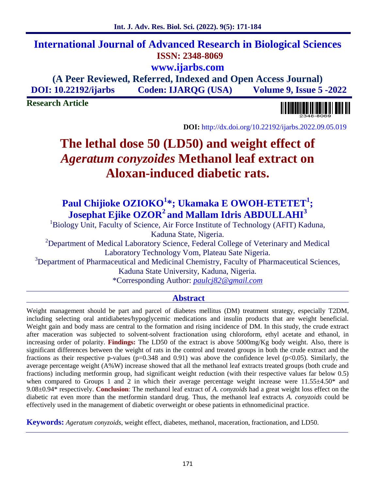## **International Journal of Advanced Research in Biological Sciences ISSN: 2348-8069 www.ijarbs.com**

## **(A Peer Reviewed, Referred, Indexed and Open Access Journal) DOI: 10.22192/ijarbs Coden: IJARQG (USA) Volume 9, Issue 5 -2022**

**Research Article**

**DOI:** http://dx.doi.org/10.22192/ijarbs.2022.09.05.019

# **The lethal dose 50 (LD50) and weight effect of** *Ageratum conyzoides* **Methanol leaf extract on Aloxan-induced diabetic rats.**

## **Paul Chijioke OZIOKO<sup>1</sup>\*; Ukamaka E OWOH-ETETET<sup>1</sup> ; Josephat Ejike OZOR<sup>2</sup> and Mallam Idris ABDULLAHI<sup>3</sup>**

<sup>1</sup>Biology Unit, Faculty of Science, Air Force Institute of Technology (AFIT) Kaduna, Kaduna State, Nigeria.

<sup>2</sup>Department of Medical Laboratory Science, Federal College of Veterinary and Medical Laboratory Technology Vom, Plateau Sate Nigeria.

<sup>3</sup>Department of Pharmaceutical and Medicinal Chemistry, Faculty of Pharmaceutical Sciences, Kaduna State University, Kaduna, Nigeria.

\*Corresponding Author: *paulcj82@gmail.com*

### **Abstract**

Weight management should be part and parcel of diabetes mellitus (DM) treatment strategy, especially T2DM, including selecting oral antidiabetes/hypoglycemic medications and insulin products that are weight beneficial. Weight gain and body mass are central to the formation and rising incidence of DM. In this study, the crude extract after maceration was subjected to solvent-solvent fractionation using chloroform, ethyl acetate and ethanol, in increasing order of polarity. **Findings:** The LD50 of the extract is above 5000mg/Kg body weight. Also, there is significant differences between the weight of rats in the control and treated groups in both the crude extract and the fractions as their respective p-values ( $p=0.348$  and 0.91) was above the confidence level ( $p<0.05$ ). Similarly, the average percentage weight (A%W) increase showed that all the methanol leaf extracts treated groups (both crude and fractions) including metformin group, had significant weight reduction (with their respective values far below 0.5) when compared to Groups 1 and 2 in which their average percentage weight increase were 11.55 $\pm$ 4.50\* and 9.08±0.94\* respectively. **Conclusion**: The methanol leaf extract of *A. conyzoids* had a great weight loss effect on the diabetic rat even more than the metformin standard drug. Thus, the methanol leaf extracts *A. conyzoids* could be effectively used in the management of diabetic overweight or obese patients in ethnomedicinal practice.

**Keywords:** *Ageratum conyzoids*, weight effect, diabetes, methanol, maceration, fractionation, and LD50.

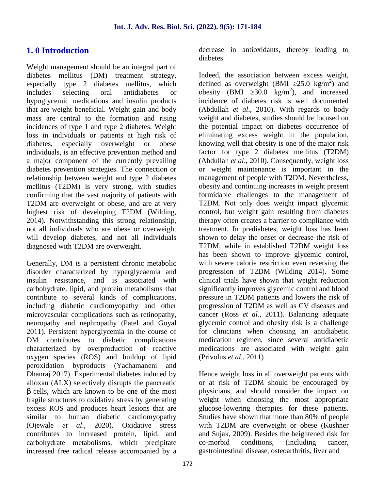## **1. 0 Introduction**

Weight management should be an integral part of diabetes mellitus (DM) treatment strategy, especially type 2 diabetes mellitus, which includes selecting oral antidiabetes or hypoglycemic medications and insulin products that are weight beneficial. Weight gain and body mass are central to the formation and rising incidences of type 1 and type 2 diabetes. Weight loss in individuals or patients at high risk of diabetes, especially overweight or obese individuals, is an effective prevention method and a major component of the currently prevailing diabetes prevention strategies. The connection or relationship between weight and type 2 diabetes mellitus (T2DM) is very strong, with studies confirming that the vast majority of patients with T2DM are overweight or obese, and are at very highest risk of developing T2DM (Wilding, 2014). Notwithstanding this strong relationship, not all individuals who are obese or overweight will develop diabetes, and not all individuals diagnosed with T2DM are overweight.

Generally, DM is a persistent chronic metabolic disorder characterized by hyperglycaemia and insulin resistance, and is associated with carbohydrate, lipid, and protein metabolisms that contribute to several kinds of complications, including diabetic cardiomyopathy and other microvascular complications such as retinopathy, neuropathy and nephropathy (Patel and Goyal 2011). Persistent hyperglycemia in the course of DM contributes to diabetic complications characterized by overproduction of reactive oxygen species (ROS) and buildup of lipid peroxidation byproducts (Yachamaneni and Dhanraj 2017). Experimental diabetes induced by alloxan (ALX) selectively disrupts the pancreatic

cells, which are known to be one of the most fragile structures to oxidative stress by generating excess ROS and produces heart lesions that are similar to human diabetic cardiomyopathy (Ojewale *et al*., 2020). Oxidative stress contributes to increased protein, lipid, and carbohydrate metabolisms, which precipitate increased free radical release accompanied by a

decrease in antioxidants, thereby leading to diabetes.

Indeed, the association between excess weight, defined as overweight (BMI  $25.0 \text{ kg/m}^2$ ) and obesity (BMI  $30.0 \text{ kg/m}^2$ ), and increased incidence of diabetes risk is well documented (Abdullah *et al*., 2010). With regards to body weight and diabetes, studies should be focused on the potential impact on diabetes occurrence of eliminating excess weight in the population, knowing well that obesity is one of the major risk factor for type 2 diabetes mellitus (T2DM) (Abdullah *et al*., 2010). Consequently, weight loss or weight maintenance is important in the management of people with T2DM. Nevertheless, obesity and continuing increases in weight present formidable challenges to the management of T2DM. Not only does weight impact glycemic control, but weight gain resulting from diabetes therapy often creates a barrier to compliance with treatment. In prediabetes, weight loss has been shown to delay the onset or decrease the risk of T2DM, while in established T2DM weight loss has been shown to improve glycemic control, with severe calorie restriction even reversing the progression of T2DM (Wilding 2014). Some clinical trials have shown that weight reduction significantly improves glycemic control and blood pressure in T2DM patients and lowers the risk of progression of T2DM as well as CV diseases and cancer (Ross *et al*., 2011). Balancing adequate glycemic control and obesity risk is a challenge for clinicians when choosing an antidiabetic medication regimen, since several antidiabetic medications are associated with weight gain (Privolus *et al*., 2011)

Hence weight loss in all overweight patients with or at risk of T2DM should be encouraged by physicians, and should consider the impact on weight when choosing the most appropriate glucose-lowering therapies for these patients. Studies have shown that more than 80% of people with T2DM are overweight or obese (Kushner and Sujak, 2009). Besides the heightened risk for conditions, (including cancer, gastrointestinal disease, osteoarthritis, liver and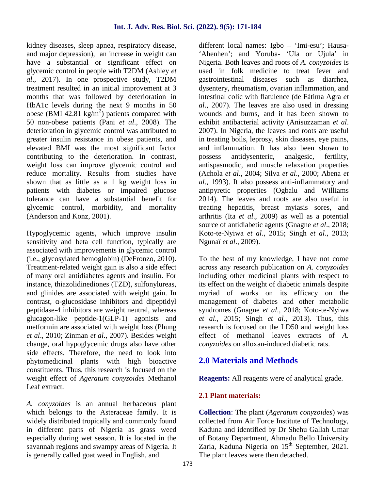kidney diseases, sleep apnea, respiratory disease, and major depression), an increase in weight can have a substantial or significant effect on glycemic control in people with T2DM (Ashley *et al*., 2017). In one prospective study, T2DM treatment resulted in an initial improvement at 3 months that was followed by deterioration in HbA1c levels during the next 9 months in 50 obese (BMI 42.81 kg/m<sup>2</sup>) patients compared with w 50 non-obese patients (Pani *et al*., 2008). The deterioration in glycemic control was attributed to greater insulin resistance in obese patients, and elevated BMI was the most significant factor contributing to the deterioration. In contrast, weight loss can improve glycemic control and reduce mortality. Results from studies have shown that as little as a 1 kg weight loss in patients with diabetes or impaired glucose tolerance can have a substantial benefit for glycemic control, morbidity, and mortality (Anderson and Konz, 2001).

Hypoglycemic agents, which improve insulin sensitivity and beta cell function, typically are associated with improvements in glycemic control (i.e., glycosylated hemoglobin) (DeFronzo, 2010). Treatment-related weight gain is also a side effect of many oral antidiabetes agents and insulin. For instance, thiazolidinediones (TZD), sulfonylureas, and glinides are associated with weight gain. In contrast, -glucosidase inhibitors and dipeptidyl peptidase-4 inhibitors are weight neutral, whereas glucagon-like peptide-1(GLP-1) agonists and metformin are associated with weight loss (Phung *et al*., 2010; Zinman *et al*., 2007). Besides weight change, oral hypoglycemic drugs also have other side effects. Therefore, the need to look into phytomedicinal plants with high bioactive constituents. Thus, this research is focused on the weight effect of *Ageratum conyzoides* Methanol Leaf extract.

*A. conyzoides* is an annual herbaceous plant which belongs to the Asteraceae family. It is widely distributed tropically and commonly found in different parts of Nigeria as grass weed especially during wet season. It is located in the savannah regions and swampy areas of Nigeria. It is generally called goat weed in English, and

different local names: Igbo – 'Imi-esu'; Hausa- 'Ahenhen'; and Yoruba- 'Ula or Ujula' in Nigeria. Both leaves and roots of *A. conyzoides* is used in folk medicine to treat fever and gastrointestinal diseases such as diarrhea, dysentery, rheumatism, ovarian inflammation, and intestinal colic with flatulence (de Fátima Agra *et al*., 2007). The leaves are also used in dressing wounds and burns, and it has been shown to exhibit antibacterial activity (Anisuzzaman *et al*. 2007). In Nigeria, the leaves and roots are useful in treating boils, leprosy, skin diseases, eye pains, and inflammation. It has also been shown to possess antidysenteric, analgesic, fertility, antispasmodic, and muscle relaxation properties (Achola *et al*., 2004; Silva *et al*., 2000; Abena *et al*., 1993). It also possess anti-inflammatory and antipyretic properties (Ogbalu and Williams 2014). The leaves and roots are also useful in treating hepatitis, breast myiasis sores, and arthritis (Ita *et al*., 2009) as well as a potential source of antidiabetic agents (Gnagne *et al*., 2018; Koto-te-Nyiwa *et al*., 2015; Singh *et al*., 2013; Ngunaï *et al*., 2009).

To the best of my knowledge, I have not come across any research publication on *A. conyzoides* including other medicinal plants with respect to its effect on the weight of diabetic animals despite myriad of works on its efficacy on the management of diabetes and other metabolic syndromes (Gnagne *et al*., 2018; Koto-te-Nyiwa *et al*., 2015; Singh *et al*., 2013). Thus, this research is focused on the LD50 and weight loss effect of methanol leaves extracts of *A. conyzoides* on alloxan-induced diabetic rats.

## **2.0 Materials and Methods**

**Reagents:** All reagents were of analytical grade.

### **2.1 Plant materials:**

**Collection**: The plant (*Ageratum conyzoides*) was collected from Air Force Institute of Technology, Kaduna and identified by Dr Shehu Gallah Umar of Botany Department, Ahmadu Bello University Zaria, Kaduna Nigeria on 15<sup>th</sup> September, 2021. The plant leaves were then detached.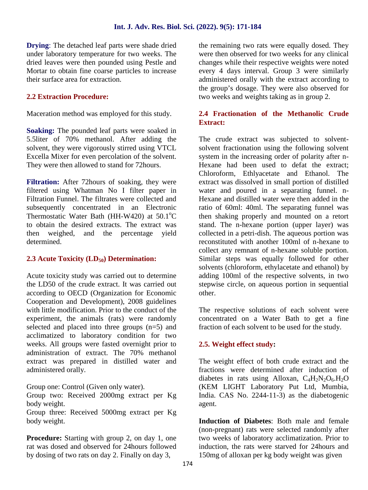**Drying**: The detached leaf parts were shade dried under laboratory temperature for two weeks. The dried leaves were then pounded using Pestle and Mortar to obtain fine coarse particles to increase their surface area for extraction.

#### **2.2 Extraction Procedure:**

Maceration method was employed for this study.

**Soaking:** The pounded leaf parts were soaked in 5.5liter of 70% methanol. After adding the solvent, they were vigorously stirred using VTCL Excella Mixer for even percolation of the solvent. They were then allowed to stand for 72hours.

**Filtration:** After 72hours of soaking, they were filtered using Whatman No I filter paper in Filtration Funnel. The filtrates were collected and subsequently concentrated in an Electronic Thermostatic Water Bath (HH-W420) at  $50.1^{\circ}$ C to obtain the desired extracts. The extract was then weighed, and the percentage yield determined.

#### **2.3 Acute Toxicity (LD50) Determination:**

Acute toxicity study was carried out to determine the LD50 of the crude extract. It was carried out according to OECD (Organization for Economic Cooperation and Development), 2008 guidelines with little modification. Prior to the conduct of the experiment, the animals (rats) were randomly selected and placed into three groups (n=5) and acclimatized to laboratory condition for two weeks. All groups were fasted overnight prior to administration of extract. The 70% methanol extract was prepared in distilled water and administered orally.

Group one: Control (Given only water).

Group two: Received 2000mg extract per Kg body weight.

Group three: Received 5000mg extract per Kg body weight.

**Procedure:** Starting with group 2, on day 1, one rat was dosed and observed for 24hours followed by dosing of two rats on day 2. Finally on day 3,

the remaining two rats were equally dosed. They were then observed for two weeks for any clinical changes while their respective weights were noted every 4 days interval. Group 3 were similarly administered orally with the extract according to the group's dosage. They were also observed for two weeks and weights taking as in group 2.

#### **2.4 Fractionation of the Methanolic Crude Extract:**

The crude extract was subjected to solvent solvent fractionation using the following solvent system in the increasing order of polarity after n- Hexane had been used to defat the extract; Chloroform, Ethlyacetate and Ethanol. The extract was dissolved in small portion of distilled water and poured in a separating funnel. n-Hexane and distilled water were then added in the ratio of 60ml: 40ml. The separating funnel was then shaking properly and mounted on a retort stand. The n-hexane portion (upper layer) was collected in a petri-dish. The aqueous portion was reconstituted with another 100ml of n-hexane to collect any remnant of n-hexane soluble portion. Similar steps was equally followed for other solvents (chloroform, ethylacetate and ethanol) by adding 100ml of the respective solvents, in two stepwise circle, on aqueous portion in sequential other.

The respective solutions of each solvent were concentrated on a Water Bath to get a fine fraction of each solvent to be used for the study.

#### **2.5. Weight effect study:**

The weight effect of both crude extract and the fractions were determined after induction of diabetes in rats using Alloxan,  $C_4H_2N_2O_6,H_2O$ (KEM LIGHT Laboratory Put Ltd, Mumbia, India. CAS No. 2244-11-3) as the diabetogenic agent.

**Induction of Diabetes**: Both male and female (non-pregnant) rats were selected randomly after two weeks of laboratory acclimatization. Prior to induction, the rats were starved for 24hours and 150mg of alloxan per kg body weight was given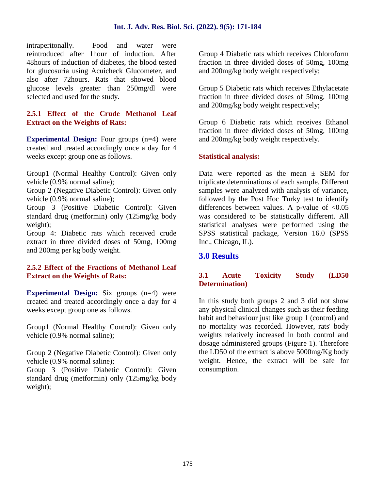intraperitonally. Food and water were reintroduced after 1hour of induction. After 48hours of induction of diabetes, the blood tested for glucosuria using Acuicheck Glucometer, and also after 72hours. Rats that showed blood glucose levels greater than 250mg/dl were selected and used for the study.

#### **2.5.1 Effect of the Crude Methanol Leaf Extract on the Weights of Rats:**

**Experimental Design:** Four groups  $(n=4)$  were created and treated accordingly once a day for 4 weeks except group one as follows.

Group1 (Normal Healthy Control): Given only vehicle (0.9% normal saline);

Group 2 (Negative Diabetic Control): Given only vehicle (0.9% normal saline);

Group 3 (Positive Diabetic Control): Given standard drug (metformin) only (125mg/kg body weight);

Group 4: Diabetic rats which received crude extract in three divided doses of 50mg, 100mg and 200mg per kg body weight.

#### **2.5.2 Effect of the Fractions of Methanol Leaf Extract on the Weights of Rats:**

**Experimental Design:** Six groups  $(n=4)$  were created and treated accordingly once a day for 4 weeks except group one as follows.

Group1 (Normal Healthy Control): Given only vehicle (0.9% normal saline);

Group 2 (Negative Diabetic Control): Given only vehicle (0.9% normal saline);

Group 3 (Positive Diabetic Control): Given standard drug (metformin) only (125mg/kg body weight);

Group 4 Diabetic rats which receives Chloroform fraction in three divided doses of 50mg, 100mg and 200mg/kg body weight respectively;

Group 5 Diabetic rats which receives Ethylacetate fraction in three divided doses of 50mg, 100mg and 200mg/kg body weight respectively;

Group 6 Diabetic rats which receives Ethanol fraction in three divided doses of 50mg, 100mg and 200mg/kg body weight respectively.

#### **Statistical analysis:**

Data were reported as the mean  $\pm$  SEM for triplicate determinations of each sample. Different samples were analyzed with analysis of variance, followed by the Post Hoc Turky test to identify differences between values. A p-value of  $< 0.05$ was considered to be statistically different. All statistical analyses were performed using the SPSS statistical package, Version 16.0 (SPSS Inc., Chicago, IL).

### **3.0 Results**

#### **3.1 Acute Toxicity Study (LD50 Determination)**

In this study both groups 2 and 3 did not show any physical clinical changes such as their feeding habit and behaviour just like group 1 (control) and no mortality was recorded. However, rats' body weights relatively increased in both control and dosage administered groups (Figure 1). Therefore the LD50 of the extract is above 5000mg/Kg body weight. Hence, the extract will be safe for consumption.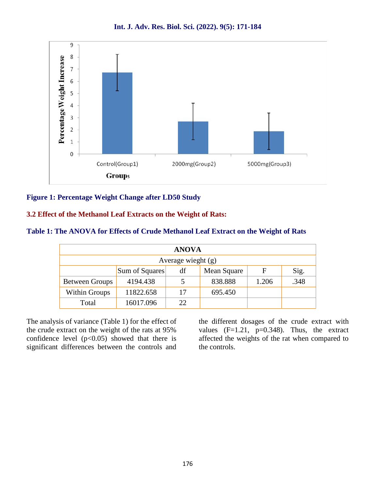**Int. J. Adv. Res. Biol. Sci. (2022). 9(5): 171-184**



#### **Figure 1: Percentage Weight Change after LD50 Study**

#### **3.2 Effect of the Methanol Leaf Extracts on the Weight of Rats:**

| <b>ANOVA</b>          |                |     |             |       |      |
|-----------------------|----------------|-----|-------------|-------|------|
| Average wieght $(g)$  |                |     |             |       |      |
|                       | Sum of Squares | df  | Mean Square | F     | Sig. |
| <b>Between Groups</b> | 4194.438       |     | 838.888     | 1.206 | .348 |
| Within Groups         | 11822.658      | 17  | 695.450     |       |      |
| Total                 | 16017.096      | 22. |             |       |      |

The analysis of variance (Table 1) for the effect of the crude extract on the weight of the rats at 95% confidence level  $(p<0.05)$  showed that there is significant differences between the controls and

the different dosages of the crude extract with values  $(F=1.21, p=0.348)$ . Thus, the extract affected the weights of the rat when compared to the controls.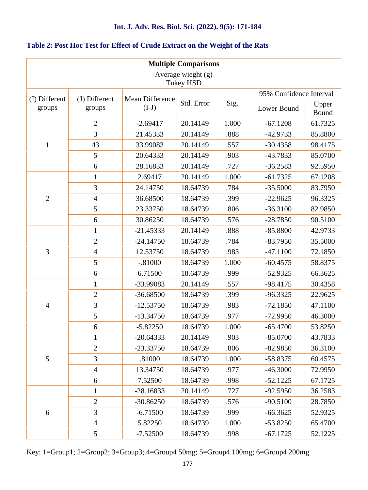|                         |                         |                            | <b>Multiple Comparisons</b>            |       |                         |                |
|-------------------------|-------------------------|----------------------------|----------------------------------------|-------|-------------------------|----------------|
|                         |                         |                            | Average wieght (g)<br><b>Tukey HSD</b> |       |                         |                |
|                         |                         |                            |                                        |       | 95% Confidence Interval |                |
| (I) Different<br>groups | (J) Different<br>groups | Mean Difference<br>$(I-J)$ | Std. Error                             | Sig.  | Lower Bound             | Upper<br>Bound |
|                         | $\overline{2}$          | $-2.69417$                 | 20.14149                               | 1.000 | $-67.1208$              | 61.7325        |
|                         | 3                       | 21.45333                   | 20.14149                               | .888  | $-42.9733$              | 85.8800        |
| $\mathbf{1}$            | 43                      | 33.99083                   | 20.14149                               | .557  | $-30.4358$              | 98.4175        |
|                         | 5                       | 20.64333                   | 20.14149                               | .903  | $-43.7833$              | 85.0700        |
|                         | 6                       | 28.16833                   | 20.14149                               | .727  | $-36.2583$              | 92.5950        |
|                         | $\mathbf{1}$            | 2.69417                    | 20.14149                               | 1.000 | $-61.7325$              | 67.1208        |
|                         | 3                       | 24.14750                   | 18.64739                               | .784  | $-35.5000$              | 83.7950        |
| $\overline{2}$          | $\overline{4}$          | 36.68500                   | 18.64739                               | .399  | $-22.9625$              | 96.3325        |
|                         | 5                       | 23.33750                   | 18.64739                               | .806  | $-36.3100$              | 82.9850        |
|                         | 6                       | 30.86250                   | 18.64739                               | .576  | $-28.7850$              | 90.5100        |
|                         | $\mathbf{1}$            | $-21.45333$                | 20.14149                               | .888  | $-85.8800$              | 42.9733        |
|                         | $\overline{2}$          | $-24.14750$                | 18.64739                               | .784  | $-83.7950$              | 35.5000        |
| 3                       | $\overline{4}$          | 12.53750                   | 18.64739                               | .983  | $-47.1100$              | 72.1850        |
|                         | 5                       | $-.81000$                  | 18.64739                               | 1.000 | $-60.4575$              | 58.8375        |
|                         | 6                       | 6.71500                    | 18.64739                               | .999  | $-52.9325$              | 66.3625        |
|                         | $\mathbf{1}$            | -33.99083                  | 20.14149                               | .557  | $-98.4175$              | 30.4358        |
|                         | $\overline{2}$          | $-36.68500$                | 18.64739                               | .399  | $-96.3325$              | 22.9625        |
| $\overline{4}$          | 3                       | $-12.53750$                | 18.64739                               | .983  | $-72.1850$              | 47.1100        |
|                         | 5                       | $-13.34750$                | 18.64739                               | .977  | $-72.9950$              | 46.3000        |
|                         | 6                       | $-5.82250$                 | 18.64739                               | 1.000 | $-65.4700$              | 53.8250        |
|                         | 1                       | $-20.64333$                | 20.14149                               | .903  | $-85.0700$              | 43.7833        |
|                         | $\mathfrak{2}$          | $-23.33750$                | 18.64739                               | .806  | $-82.9850$              | 36.3100        |
| 5                       | 3                       | .81000                     | 18.64739                               | 1.000 | $-58.8375$              | 60.4575        |
|                         | $\overline{4}$          | 13.34750                   | 18.64739                               | .977  | $-46.3000$              | 72.9950        |
|                         | 6                       | 7.52500                    | 18.64739                               | .998  | $-52.1225$              | 67.1725        |
|                         | $\mathbf{1}$            | $-28.16833$                | 20.14149                               | .727  | $-92.5950$              | 36.2583        |
|                         | $\mathfrak{2}$          | $-30.86250$                | 18.64739                               | .576  | $-90.5100$              | 28.7850        |
| 6                       | 3                       | $-6.71500$                 | 18.64739                               | .999  | $-66.3625$              | 52.9325        |
|                         | $\overline{4}$          | 5.82250                    | 18.64739                               | 1.000 | $-53.8250$              | 65.4700        |
|                         | 5                       | $-7.52500$                 | 18.64739                               | .998  | $-67.1725$              | 52.1225        |

#### **Table 2: Post Hoc Test for Effect of Crude Extract on the Weight of the Rats**

Key: 1=Group1; 2=Group2; 3=Group3; 4=Group4 50mg; 5=Group4 100mg; 6=Group4 200mg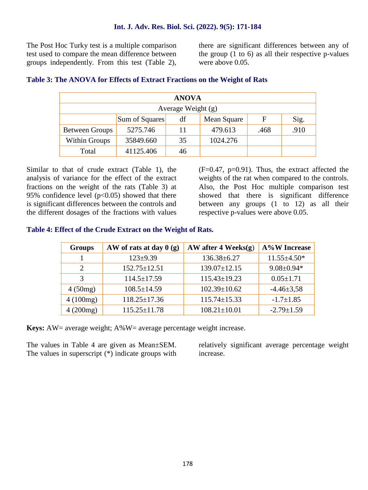The Post Hoc Turky test is a multiple comparison test used to compare the mean difference between groups independently. From this test (Table 2), there are significant differences between any of the group (1 to 6) as all their respective p-values were above 0.05.

|                    |                | <b>ANOVA</b> |             |      |      |
|--------------------|----------------|--------------|-------------|------|------|
| Average Weight (g) |                |              |             |      |      |
|                    | Sum of Squares | df           | Mean Square | F    | Sig. |
| Between Groups     | 5275.746       | 11           | 479.613     | .468 | .910 |
| Within Groups      | 35849.660      | 35           | 1024.276    |      |      |
| Total              | 41125.406      | 46           |             |      |      |

#### **Table 3: The ANOVA for Effects of Extract Fractions on the Weight of Rats**

Similar to that of crude extract (Table 1), the analysis of variance for the effect of the extract fractions on the weight of the rats (Table 3) at 95% confidence level  $(p<0.05)$  showed that there is significant differences between the controls and the different dosages of the fractions with values

 $(F=0.47, p=0.91)$ . Thus, the extract affected the weights of the rat when compared to the controls. Also, the Post Hoc multiple comparison test showed that there is significant difference between any groups (1 to 12) as all their respective p-values were above 0.05.

#### **Table 4: Effect of the Crude Extract on the Weight of Rats.**

| <b>Groups</b>  | AW of rats at day $0(g)$ | AW after 4 Weeks $(g)$ | <b>A%W</b> Increase |
|----------------|--------------------------|------------------------|---------------------|
|                | $123+9.39$               | $136.38 \pm 6.27$      | $11.55 \pm 4.50*$   |
| $\overline{2}$ | $152.75 \pm 12.51$       | $139.07 \pm 12.15$     | $9.08 \pm 0.94*$    |
| 3              | $114.5 \pm 17.59$        | $115.43 \pm 19.23$     | $0.05 \pm 1.71$     |
| 4(50mg)        | $108.5 \pm 14.59$        | $102.39 \pm 10.62$     | $-4.46 \pm 3.58$    |
| 4(100mg)       | $118.25 \pm 17.36$       | $115.74 \pm 15.33$     | $-1.7 \pm 1.85$     |
| 4(200mg)       | $115.25 \pm 11.78$       | $108.21 \pm 10.01$     | $-2.79 \pm 1.59$    |

**Keys:** AW= average weight; A%W= average percentage weight increase.

The values in Table 4 are given as Mean±SEM. The values in superscript (\*) indicate groups with relatively significant average percentage weight increase.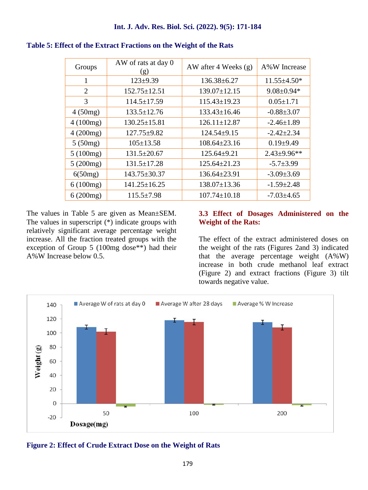| Groups   | AW of rats at day 0<br>(g) | AW after 4 Weeks $(g)$ | A%W Increase       |
|----------|----------------------------|------------------------|--------------------|
| 1        | $123 \pm 9.39$             | $136.38 \pm 6.27$      | $11.55 \pm 4.50*$  |
| 2        | $152.75 \pm 12.51$         | $139.07 \pm 12.15$     | $9.08 \pm 0.94*$   |
| 3        | $114.5 \pm 17.59$          | $115.43 \pm 19.23$     | $0.05 \pm 1.71$    |
| 4(50mg)  | $133.5 \pm 12.76$          | 133.43±16.46           | $-0.88 \pm 3.07$   |
| 4(100mg) | $130.25 \pm 15.81$         | $126.11 \pm 12.87$     | $-2.46 \pm 1.89$   |
| 4(200mg) | $127.75 \pm 9.82$          | $124.54 \pm 9.15$      | $-2.42 \pm 2.34$   |
| 5(50mg)  | $105 \pm 13.58$            | $108.64 \pm 23.16$     | $0.19{\pm}9.49$    |
| 5(100mg) | $131.5 \pm 20.67$          | 125.64±9.21            | $2.43 \pm 9.96$ ** |
| 5(200mg) | $131.5 \pm 17.28$          | $125.64 \pm 21.23$     | $-5.7 \pm 3.99$    |
| 6(50mg)  | $143.75 \pm 30.37$         | $136.64 \pm 23.91$     | $-3.09 \pm 3.69$   |
| 6(100mg) | $141.25 \pm 16.25$         | $138.07 \pm 13.36$     | $-1.59 \pm 2.48$   |
| 6(200mg) | $115.5 \pm 7.98$           | $107.74 \pm 10.18$     | $-7.03 \pm 4.65$   |

#### **Table 5: Effect of the Extract Fractions on the Weight of the Rats**

The values in Table 5 are given as Mean±SEM. The values in superscript (\*) indicate groups with relatively significant average percentage weight increase. All the fraction treated groups with the exception of Group 5 (100mg dose\*\*) had their A%W Increase below 0.5.

#### **3.3 Effect of Dosages Administered on the Weight of the Rats:**

The effect of the extract administered doses on the weight of the rats (Figures 2and 3) indicated that the average percentage weight  $(A\%W)$ increase in both crude methanol leaf extract (Figure 2) and extract fractions (Figure 3) tilt towards negative value.



**Figure 2: Effect of Crude Extract Dose on the Weight of Rats**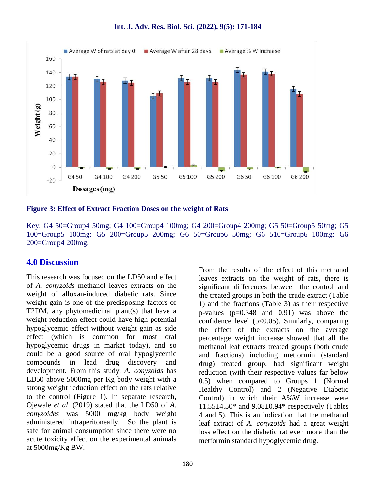

**Figure 3: Effect of Extract Fraction Doses on the weight of Rats**

Key: G4 50=Group4 50mg; G4 100=Group4 100mg; G4 200=Group4 200mg; G5 50=Group5 50mg; G5 100=Group5 100mg; G5 200=Group5 200mg; G6 50=Group6 50mg; G6 510=Group6 100mg; G6 200=Group4 200mg.

### **4.0 Discussion**

This research was focused on the LD50 and effect of *A. conyzoids* methanol leaves extracts on the weight of alloxan-induced diabetic rats. Since weight gain is one of the predisposing factors of T2DM, any phytomedicinal plant(s) that have a weight reduction effect could have high potential hypoglycemic effect without weight gain as side effect (which is common for most oral hypoglycemic drugs in market today), and so could be a good source of oral hypoglycemic compounds in lead drug discovery and development. From this study, *A. conyzoids* has LD50 above 5000mg per Kg body weight with a strong weight reduction effect on the rats relative to the control (Figure 1). In separate research, Ojewale *et al*. (2019) stated that the LD50 of *A. conyzoides* was 5000 mg/kg body weight administered intraperitoneally. So the plant is safe for animal consumption since there were no acute toxicity effect on the experimental animals at 5000mg/Kg BW.

From the results of the effect of this methanol leaves extracts on the weight of rats, there is significant differences between the control and the treated groups in both the crude extract (Table 1) and the fractions (Table 3) as their respective p-values (p=0.348 and 0.91) was above the confidence level  $(p<0.05)$ . Similarly, comparing the effect of the extracts on the average percentage weight increase showed that all the methanol leaf extracts treated groups (both crude and fractions) including metformin (standard drug) treated group, had significant weight reduction (with their respective values far below 0.5) when compared to Groups 1 (Normal Healthy Control) and 2 (Negative Diabetic Control) in which their A%W increase were  $11.55\pm4.50*$  and  $9.08\pm0.94*$  respectively (Tables 4 and 5). This is an indication that the methanol leaf extract of *A. conyzoids* had a great weight loss effect on the diabetic rat even more than the metformin standard hypoglycemic drug.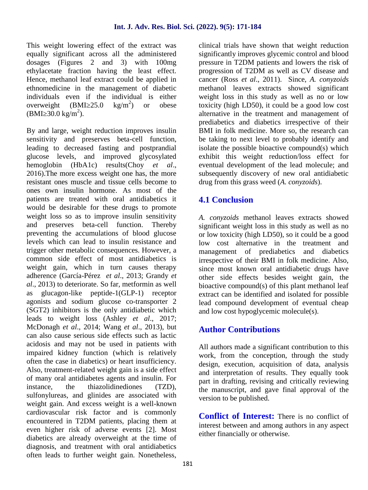This weight lowering effect of the extract was equally significant across all the administered dosages (Figures 2 and 3) with 100mg ethylacetate fraction having the least effect. Hence, methanol leaf extract could be applied in ethnomedicine in the management of diabetic individuals even if the individual is either overweight (BMI 25.0 kg/m<sup>2</sup>) or obese (BMI  $30.0 \text{ kg/m}^2$ ).

By and large, weight reduction improves insulin sensitivity and preserves beta-cell function, leading to decreased fasting and postprandial glucose levels, and improved glycosylated hemoglobin (HbA1c) results(Choy *et al*., 2016).The more excess weight one has, the more resistant ones muscle and tissue cells become to ones own insulin hormone. As most of the patients are treated with oral antidiabetics it would be desirable for these drugs to promote weight loss so as to improve insulin sensitivity and preserves beta-cell function. Thereby preventing the accumulations of blood glucose levels which can lead to insulin resistance and trigger other metabolic consequences. However, a common side effect of most antidiabetics is weight gain, which in turn causes therapy adherence (García-Pérez *et al*., 2013; Grandy *et al*., 2013) to deteriorate. So far, metformin as well as glucagon-like peptide-1(GLP-1) receptor agonists and sodium glucose co-transporter 2 (SGT2) inhibitors is the only antidiabetic which leads to weight loss (Ashley *et al*., 2017; McDonagh *et al*., 2014; Wang *et al*., 2013), but can also cause serious side effects such as lactic acidosis and may not be used in patients with impaired kidney function (which is relatively often the case in diabetics) or heart insufficiency. Also, treatment-related weight gain is a side effect of many oral antidiabetes agents and insulin. For instance, the thiazolidinediones (TZD), sulfonylureas, and glinides are associated with weight gain. And excess weight is a well-known cardiovascular risk factor and is commonly encountered in T2DM patients, placing them at even higher risk of adverse events [2]. Most diabetics are already overweight at the time of diagnosis, and treatment with oral antidiabetics often leads to further weight gain. Nonetheless,

clinical trials have shown that weight reduction significantly improves glycemic control and blood pressure in T2DM patients and lowers the risk of progression of T2DM as well as CV disease and cancer (Ross *et al*., 2011). Since, *A. conyzoids* methanol leaves extracts showed significant weight loss in this study as well as no or low toxicity (high LD50), it could be a good low cost alternative in the treatment and management of prediabetics and diabetics irrespective of their BMI in folk medicine. More so, the research can be taking to next level to probably identify and isolate the possible bioactive compound(s) which exhibit this weight reduction/loss effect for eventual development of the lead molecule; and subsequently discovery of new oral antidiabetic drug from this grass weed (*A. conyzoids*).

## **4.1 Conclusion**

*A. conyzoids* methanol leaves extracts showed significant weight loss in this study as well as no or low toxicity (high LD50), so it could be a good low cost alternative in the treatment and management of prediabetics and diabetics irrespective of their BMI in folk medicine. Also, since most known oral antidiabetic drugs have other side effects besides weight gain, the bioactive compound(s) of this plant methanol leaf extract can be identified and isolated for possible lead compound development of eventual cheap and low cost hypoglycemic molecule(s).

## **Author Contributions**

All authors made a significant contribution to this work, from the conception, through the study design, execution, acquisition of data, analysis and interpretation of results. They equally took part in drafting, revising and critically reviewing the manuscript, and gave final approval of the version to be published.

**Conflict of Interest:** There is no conflict of interest between and among authors in any aspect either financially or otherwise.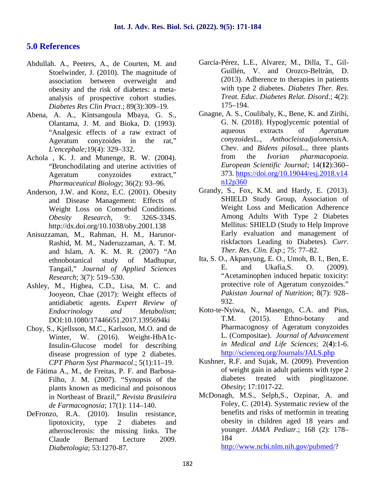### **5.0 References**

- Abdullah. A., Peeters, A., de Courten, M. and Stoelwinder, J. (2010). The magnitude of association between overweight and obesity and the risk of diabetes: a meta analysis of prospective cohort studies. *Diabetes Res Clin Pract*.; 89(3):309–19.
- Abena, A. A., Kintsangoula Mbaya, G. S., Olantama, J. M. and Bioka, D. (1993). "Analgesic effects of a raw extract of Ageratum conyzoides in the rat," *L'encephale;*19(4): 329–332.
- Achola , K. J. and Munenge, R. W. (2004). "Bronchodilating and uterine activities of Ageratum conyzoides extract," *Pharmaceutical Biology*; 36(2): 93–96.
- Anderson, J.W. and Konz, E.C. (2001). Obesity and Disease Management: Effects of Weight Loss on Comorbid Conditions. *Obesity Research*, 9: 326S-334S. http://dx.doi.org/10.1038/oby.2001.138
- Anisuzzaman, M., Rahman, H. M., Harunor- Rashid, M. M., Naderuzzaman, A. T. M. and Islam, A. K. M. R. (2007) "An ethnobotanical study of Madhupur, Tangail," *Journal of Applied Sciences Research*; 3(7): 519–530.
- Ashley, M., Higbea, C.D., Lisa, M. C. and Jooyeon, Chae (2017): Weight effects of antidiabetic agents. *Expert Review of Endocrinology and Metabolism*; DOI:10.1080/17446651.2017.1395694ki
- Choy, S., Kjellsson, M.C., Karlsson, M.O. and de Winter, W. (2016). Weight-HbA1c-Insulin-Glucose model for describing disease progression of type 2 diabetes. *CPT Pharm Syst Pharmacol*.; 5(1):11–19.
- de Fátima A., M., de Freitas, P. F. and Barbosa- Filho, J. M. (2007). "Synopsis of the plants known as medicinal and poisonous in Northeast of Brazil," *Revista Brasileira de Farmacognosia*; 17(1): 114–140.
- DeFronzo, R.A. (2010). Insulin resistance, lipotoxicity, type 2 diabetes and atherosclerosis: the missing links. The Claude Bernard Lecture 2009. *Diabetologia*; 53:1270-87.
- García-Pérez, L.E., Alvarez, M., Dilla, T., Gil- Guillén, V. and Orozco-Beltrán, D. (2013). Adherence to therapies in patients with type 2 diabetes. *Diabetes Ther. Res. Treat. Educ. Diabetes Relat. Disord*.; 4(2): 175–194.
- Gnagne, A. S., Coulibaly, K., Bene, K. and Zirihi, G. N. (2018). Hypoglycemic potential of aqueous extracts of *Ageratum conyzoides*L., *Anthocleistadjalonensis*A. Chev. and *Bidens pilosa*L., three plants from the *Ivorian pharmacopoeia*. *European Scientific Journal*; 14(**12**):360– 373. https://doi.org/10.19044/esj.2018.v14 n12p360
- Grandy, S., Fox, K.M. and Hardy, E. (2013). SHIELD Study Group, Association of Weight Loss and Medication Adherence Among Adults With Type 2 Diabetes Mellitus: SHIELD (Study to Help Improve Early evaluation and management of riskfactors Leading to Diabetes). *Curr. Ther. Res. Clin. Exp*.; 75: 77–82.
- Ita, S. O., Akpanyung, E. O., Umoh, B. I., Ben, E. E. and Ukafia,S. O. (2009). "Acetaminophen induced hepatic toxicity: protective role of Ageratum conyzoides." *Pakistan Journal of Nutrition*; 8(7): 928– 932.
- Koto-te-Nyiwa, N., Masengo, C.A. and Pius, T.M. (2015). Ethno-botany and Pharmacognosy of Ageratum conyzoides L. (Compositae). *Journal of Advancement in Medical and Life Sciences*; 2(**4**):1-6. http://scienceq.org/Journals/JALS.php
- Kushner, R.F. and Sujak, M. (2009). Prevention of weight gain in adult patients with type 2 diabetes treated with pioglitazone. *Obesity*; 17:1017-22.
- McDonagh, M.S., Selph,S., Ozpinar, A. and Foley, C. (2014). Systematic review of the benefits and risks of metformin in treating obesity in children aged 18 years and younger. *JAMA Pediatr*.; 168 (2): 178– 184

http://www.ncbi.nlm.nih.gov/pubmed/?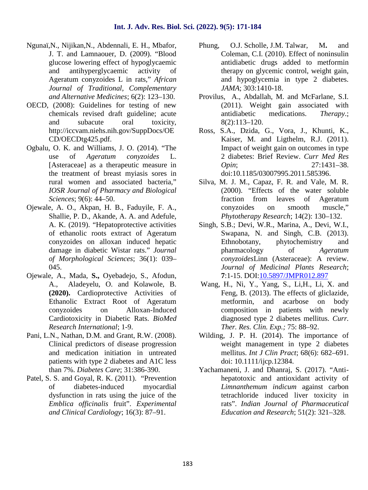- Ngunaï,N., Nijikan,N., Abdennali, E. H., Mbafor, J. T. and Lamnaouer, D. (2009). "Blood glucose lowering effect of hypoglycaemic and antihyperglycaemic activity of Ageratum conyzoides L in rats," *African Journal of Traditional, Complementary and Alternative Medicines*; 6(2): 123–130.
- OECD, (2008): Guidelines for testing of new chemicals revised draft guideline; acute and subacute oral toxicity, http://iccvam.niehs.nih.gov/SuppDocs/OE CD/OECDtg425.pdf.
- Ogbalu, O. K. and Williams, J. O. (2014). "The use of *Ageratum conyzoides* L. [Asteraceae] as a therapeutic measure in the treatment of breast myiasis sores in rural women and associated bacteria," *IOSR Journal of Pharmacy and Biological Sciences*; 9(6): 44–50.
- Ojewale, A. O., Akpan, H. B., Faduyile, F. A., Shallie, P. D., Akande, A. A. and Adefule, A. K. (2019). "Hepatoprotective activities of ethanolic roots extract of Ageratum conyzoides on alloxan induced hepatic damage in diabetic Wistar rats." *Journal of Morphological Sciences*; 36(1): 039– 045.
- Ojewale, A., Mada, **S.,** Oyebadejo, S., Afodun, A., Aladeyelu, O. and Kolawole, B. **(2020).** Cardioprotective Activities of Ethanolic Extract Root of Ageratum conyzoides on Alloxan-Induced Cardiotoxicity in Diabetic Rats. *BioMed Research International*; 1-9.
- Pani, L.N., Nathan, D.M. and Grant, R.W. (2008). Clinical predictors of disease progression and medication initiation in untreated patients with type 2 diabetes and A1C less than 7%. *Diabetes Care*; 31:386-390.
- Patel, S. S. and Goyal, R. K. (2011). "Prevention of diabetes-induced myocardial dysfunction in rats using the juice of the *Emblica officinalis* fruit". *Experimental and Clinical Cardiology*; 16(3): 87–91.
- Phung, O.J. Scholle, J.M. Talwar, M**.** and Coleman, C.I. (2010). Effect of noninsulin antidiabetic drugs added to metformin therapy on glycemic control, weight gain, and hypoglycemia in type 2 diabetes. *JAMA*; 303:1410-18.
- Provilus, A., Abdallah, M. and McFarlane, S.I. (2011). Weight gain associated with antidiabetic medications. *Therapy*.; 8(2):113–120.
- S.A., Dzida, G., Vora, J., Khunti, K., Kaiser, M. and Ligthelm, R.J. (2011). Impact of weight gain on outcomes in type 2 diabetes: Brief Review. *Curr Med Res Opin*; 27:1431–38. doi:10.1185/03007995.2011.585396.
- Silva, M. J. M., Capaz, F. R. and Vale, M. R. (2000). "Effects of the water soluble fraction from leaves of Ageratum conyzoides on smooth muscle," *Phytotherapy Research*; 14(2): 130–132.
- Singh, S.B.; Devi, W.R., Marina, A., Devi, W.I., Swapana, N. and Singh, C.B. (2013). Ethnobotany, phytochemistry and pharmacology of *Ageratum conyzoides*Linn (Asteraceae): A review. *Journal of Medicinal Plants Research*; **7**:1-15. DOI:10.5897/JMPR012.897
- Wang, H., Ni, Y., Yang, S., Li,H., Li, X. and Feng, B. (2013). The effects of gliclazide, metformin, and acarbose on body composition in patients with newly diagnosed type 2 diabetes mellitus. *Curr. Ther. Res. Clin. Exp.;* 75: 88–92.
- Wilding, J. P. H. (2014). The importance of weight management in type 2 diabetes mellitus. *Int J Clin Pract*; 68(6): 682–691. doi: 10.1111/ijcp.12384.
- Yachamaneni, J. and Dhanraj, S. (2017). "Anti hepatotoxic and antioxidant activity of *Limnanthemum indicum* against carbon tetrachloride induced liver toxicity in rats". *Indian Journal of Pharmaceutical Education and Research*; 51(2): 321–328.